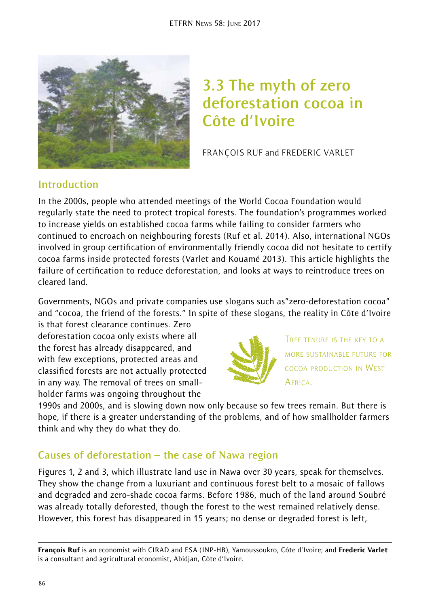

# **3.3 The myth of zero deforestation cocoa in Côte d'Ivoire**

FRANÇOIS RUF and FREDERIC VARLET

### **Introduction**

In the 2000s, people who attended meetings of the World Cocoa Foundation would regularly state the need to protect tropical forests. The foundation's programmes worked to increase yields on established cocoa farms while failing to consider farmers who continued to encroach on neighbouring forests (Ruf et al. 2014). Also, international NGOs involved in group certification of environmentally friendly cocoa did not hesitate to certify cocoa farms inside protected forests (Varlet and Kouamé 2013). This article highlights the failure of certification to reduce deforestation, and looks at ways to reintroduce trees on cleared land.

Governments, NGOs and private companies use slogans such as"zero-deforestation cocoa" and "cocoa, the friend of the forests." In spite of these slogans, the reality in Côte d'Ivoire

is that forest clearance continues. Zero deforestation cocoa only exists where all the forest has already disappeared, and with few exceptions, protected areas and classified forests are not actually protected in any way. The removal of trees on smallholder farms was ongoing throughout the



TREE TENURE IS THE KEY TO A MORE SUSTAINABLE FUTURE FOR COCOA PRODUCTION IN WEST **AFRICA** 

1990s and 2000s, and is slowing down now only because so few trees remain. But there is hope, if there is a greater understanding of the problems, and of how smallholder farmers think and why they do what they do.

### **Causes of deforestation – the case of Nawa region**

Figures 1, 2 and 3, which illustrate land use in Nawa over 30 years, speak for themselves. They show the change from a luxuriant and continuous forest belt to a mosaic of fallows and degraded and zero-shade cocoa farms. Before 1986, much of the land around Soubré was already totally deforested, though the forest to the west remained relatively dense. However, this forest has disappeared in 15 years; no dense or degraded forest is left,

François Ruf is an economist with CIRAD and ESA (INP-HB), Yamoussoukro, Côte d'Ivoire; and Frederic Varlet is a consultant and agricultural economist, Abidjan, Côte d'Ivoire.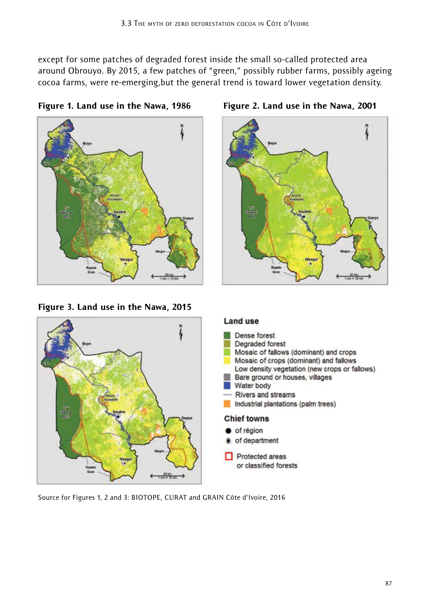except for some patches of degraded forest inside the small so-called protected area around Obrouyo. By 2015, a few patches of "green," possibly rubber farms, possibly ageing cocoa farms, were re-emerging,but the general trend is toward lower vegetation density.

Figure 1. Land use in the Nawa, 1986 Figure 2. Land use in the Nawa, 2001



Figure 3. Land use in the Nawa, 2015



#### **Land use**



Source for Figures 1, 2 and 3: BIOTOPE, CURAT and GRAIN Côte d'Ivoire, 2016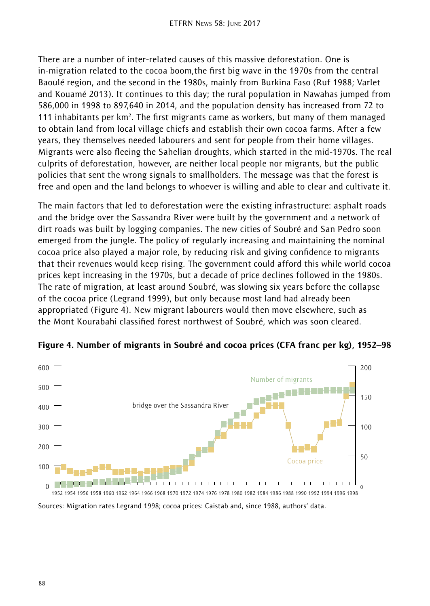There are a number of inter-related causes of this massive deforestation. One is in-migration related to the cocoa boom,the first big wave in the 1970s from the central Baoulé region, and the second in the 1980s, mainly from Burkina Faso (Ruf 1988; Varlet and Kouamé 2013). It continues to this day; the rural population in Nawahas jumped from 586,000 in 1998 to 897,640 in 2014, and the population density has increased from 72 to 111 inhabitants per km<sup>2</sup>. The first migrants came as workers, but many of them managed to obtain land from local village chiefs and establish their own cocoa farms. After a few years, they themselves needed labourers and sent for people from their home villages. Migrants were also fleeing the Sahelian droughts, which started in the mid-1970s. The real culprits of deforestation, however, are neither local people nor migrants, but the public policies that sent the wrong signals to smallholders. The message was that the forest is free and open and the land belongs to whoever is willing and able to clear and cultivate it.

The main factors that led to deforestation were the existing infrastructure: asphalt roads and the bridge over the Sassandra River were built by the government and a network of dirt roads was built by logging companies. The new cities of Soubré and San Pedro soon emerged from the jungle. The policy of regularly increasing and maintaining the nominal cocoa price also played a major role, by reducing risk and giving confidence to migrants that their revenues would keep rising. The government could afford this while world cocoa prices kept increasing in the 1970s, but a decade of price declines followed in the 1980s. The rate of migration, at least around Soubré, was slowing six years before the collapse of the cocoa price (Legrand 1999), but only because most land had already been appropriated (Figure 4). New migrant labourers would then move elsewhere, such as the Mont Kourabahi classified forest northwest of Soubré, which was soon cleared.



Figure 4. Number of migrants in Soubré and cocoa prices (CFA franc per kg), 1952–98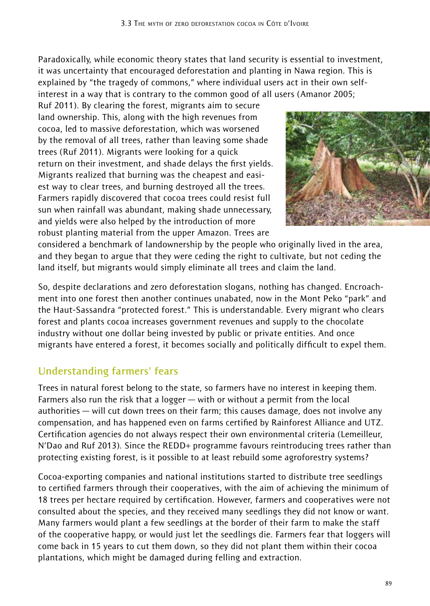Paradoxically, while economic theory states that land security is essential to investment, it was uncertainty that encouraged deforestation and planting in Nawa region. This is explained by "the tragedy of commons," where individual users act in their own selfinterest in a way that is contrary to the common good of all users (Amanor 2005;

Ruf 2011). By clearing the forest, migrants aim to secure land ownership. This, along with the high revenues from cocoa, led to massive deforestation, which was worsened by the removal of all trees, rather than leaving some shade trees (Ruf 2011). Migrants were looking for a quick return on their investment, and shade delays the first yields. Migrants realized that burning was the cheapest and easiest way to clear trees, and burning destroyed all the trees. Farmers rapidly discovered that cocoa trees could resist full sun when rainfall was abundant, making shade unnecessary, and yields were also helped by the introduction of more robust planting material from the upper Amazon. Trees are



considered a benchmark of landownership by the people who originally lived in the area, and they began to argue that they were ceding the right to cultivate, but not ceding the land itself, but migrants would simply eliminate all trees and claim the land.

So, despite declarations and zero deforestation slogans, nothing has changed. Encroachment into one forest then another continues unabated, now in the Mont Peko "park" and the Haut-Sassandra "protected forest." This is understandable. Every migrant who clears forest and plants cocoa increases government revenues and supply to the chocolate industry without one dollar being invested by public or private entities. And once migrants have entered a forest, it becomes socially and politically difficult to expel them.

### **Understanding farmers' fears**

Trees in natural forest belong to the state, so farmers have no interest in keeping them. Farmers also run the risk that a logger — with or without a permit from the local authorities — will cut down trees on their farm; this causes damage, does not involve any compensation, and has happened even on farms certified by Rainforest Alliance and UTZ. Certification agencies do not always respect their own environmental criteria (Lemeilleur, N'Dao and Ruf 2013). Since the REDD+ programme favours reintroducing trees rather than protecting existing forest, is it possible to at least rebuild some agroforestry systems?

Cocoa-exporting companies and national institutions started to distribute tree seedlings to certified farmers through their cooperatives, with the aim of achieving the minimum of 18 trees per hectare required by certification. However, farmers and cooperatives were not consulted about the species, and they received many seedlings they did not know or want. Many farmers would plant a few seedlings at the border of their farm to make the staff of the cooperative happy, or would just let the seedlings die. Farmers fear that loggers will come back in 15 years to cut them down, so they did not plant them within their cocoa plantations, which might be damaged during felling and extraction.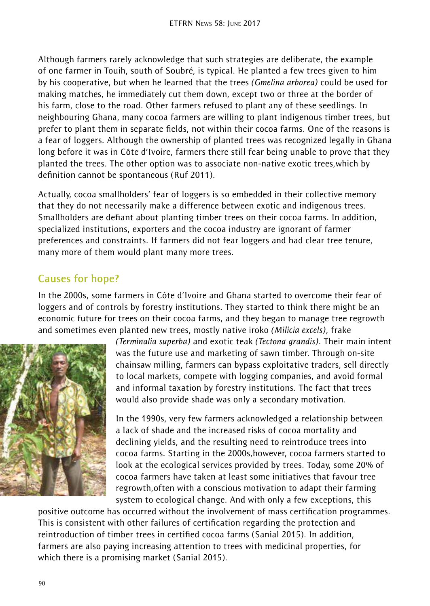Although farmers rarely acknowledge that such strategies are deliberate, the example of one farmer in Touih, south of Soubré, is typical. He planted a few trees given to him by his cooperative, but when he learned that the trees *(Gmelina arborea)* could be used for making matches, he immediately cut them down, except two or three at the border of his farm, close to the road. Other farmers refused to plant any of these seedlings. In neighbouring Ghana, many cocoa farmers are willing to plant indigenous timber trees, but prefer to plant them in separate fields, not within their cocoa farms. One of the reasons is a fear of loggers. Although the ownership of planted trees was recognized legally in Ghana long before it was in Côte d'Ivoire, farmers there still fear being unable to prove that they planted the trees. The other option was to associate non-native exotic trees,which by definition cannot be spontaneous (Ruf 2011).

Actually, cocoa smallholders' fear of loggers is so embedded in their collective memory that they do not necessarily make a difference between exotic and indigenous trees. Smallholders are defiant about planting timber trees on their cocoa farms. In addition, specialized institutions, exporters and the cocoa industry are ignorant of farmer preferences and constraints. If farmers did not fear loggers and had clear tree tenure, many more of them would plant many more trees.

### **Causes for hope?**

In the 2000s, some farmers in Côte d'Ivoire and Ghana started to overcome their fear of loggers and of controls by forestry institutions. They started to think there might be an economic future for trees on their cocoa farms, and they began to manage tree regrowth and sometimes even planted new trees, mostly native iroko *(Milicia excels)*, frake



*(Terminalia superba)* and exotic teak *(Tectona grandis)*. Their main intent was the future use and marketing of sawn timber. Through on-site chainsaw milling, farmers can bypass exploitative traders, sell directly to local markets, compete with logging companies, and avoid formal and informal taxation by forestry institutions. The fact that trees would also provide shade was only a secondary motivation.

In the 1990s, very few farmers acknowledged a relationship between a lack of shade and the increased risks of cocoa mortality and declining yields, and the resulting need to reintroduce trees into cocoa farms. Starting in the 2000s,however, cocoa farmers started to look at the ecological services provided by trees. Today, some 20% of cocoa farmers have taken at least some initiatives that favour tree regrowth,often with a conscious motivation to adapt their farming system to ecological change. And with only a few exceptions, this

positive outcome has occurred without the involvement of mass certification programmes. This is consistent with other failures of certification regarding the protection and reintroduction of timber trees in certified cocoa farms (Sanial 2015). In addition, farmers are also paying increasing attention to trees with medicinal properties, for which there is a promising market (Sanial 2015).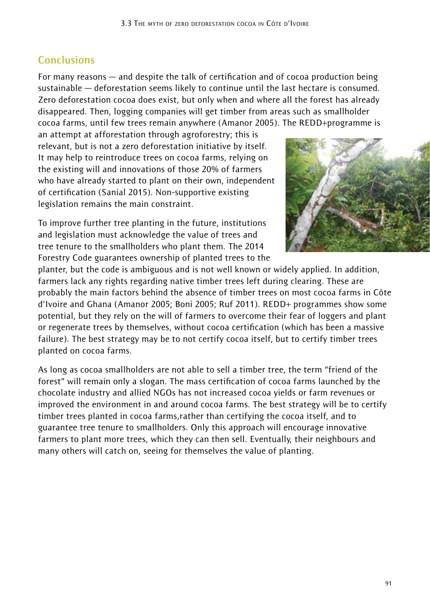## **Conclusions**

For many reasons — and despite the talk of certification and of cocoa production being sustainable — deforestation seems likely to continue until the last hectare is consumed. Zero deforestation cocoa does exist, but only when and where all the forest has already disappeared. Then, logging companies will get timber from areas such as smallholder cocoa farms, until few trees remain anywhere (Amanor 2005). The REDD+programme is

an attempt at afforestation through agroforestry; this is relevant, but is not a zero deforestation initiative by itself. It may help to reintroduce trees on cocoa farms, relying on the existing will and innovations of those 20% of farmers who have already started to plant on their own, independent of certification (Sanial 2015). Non-supportive existing legislation remains the main constraint.

To improve further tree planting in the future, institutions and legislation must acknowledge the value of trees and tree tenure to the smallholders who plant them. The 2014 Forestry Code guarantees ownership of planted trees to the



planter, but the code is ambiguous and is not well known or widely applied. In addition, farmers lack any rights regarding native timber trees left during clearing. These are probably the main factors behind the absence of timber trees on most cocoa farms in Côte d'Ivoire and Ghana (Amanor 2005; Boni 2005; Ruf 2011). REDD+ programmes show some potential, but they rely on the will of farmers to overcome their fear of loggers and plant or regenerate trees by themselves, without cocoa certification (which has been a massive failure). The best strategy may be to not certify cocoa itself, but to certify timber trees planted on cocoa farms.

As long as cocoa smallholders are not able to sell a timber tree, the term "friend of the forest" will remain only a slogan. The mass certification of cocoa farms launched by the chocolate industry and allied NGOs has not increased cocoa yields or farm revenues or improved the environment in and around cocoa farms. The best strategy will be to certify timber trees planted in cocoa farms,rather than certifying the cocoa itself, and to guarantee tree tenure to smallholders. Only this approach will encourage innovative farmers to plant more trees, which they can then sell. Eventually, their neighbours and many others will catch on, seeing for themselves the value of planting.